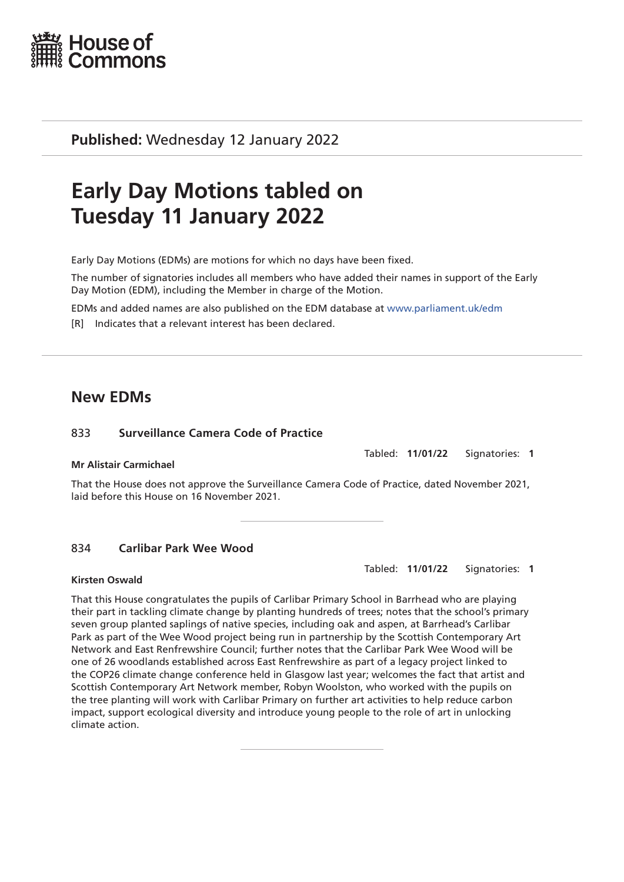

**Published:** Wednesday 12 January 2022

# **Early Day Motions tabled on Tuesday 11 January 2022**

Early Day Motions (EDMs) are motions for which no days have been fixed.

The number of signatories includes all members who have added their names in support of the Early Day Motion (EDM), including the Member in charge of the Motion.

EDMs and added names are also published on the EDM database at [www.parliament.uk/edm](http://www.parliament.uk/edm)

[R] Indicates that a relevant interest has been declared.

# **New EDMs**

# 833 **Surveillance Camera Code of Practice**

# **Mr Alistair Carmichael**

That the House does not approve the Surveillance Camera Code of Practice, dated November 2021, laid before this House on 16 November 2021.

# 834 **Carlibar Park Wee Wood**

#### **Kirsten Oswald**

Tabled: **11/01/22** Signatories: **1**

That this House congratulates the pupils of Carlibar Primary School in Barrhead who are playing their part in tackling climate change by planting hundreds of trees; notes that the school's primary seven group planted saplings of native species, including oak and aspen, at Barrhead's Carlibar Park as part of the Wee Wood project being run in partnership by the Scottish Contemporary Art Network and East Renfrewshire Council; further notes that the Carlibar Park Wee Wood will be one of 26 woodlands established across East Renfrewshire as part of a legacy project linked to the COP26 climate change conference held in Glasgow last year; welcomes the fact that artist and Scottish Contemporary Art Network member, Robyn Woolston, who worked with the pupils on the tree planting will work with Carlibar Primary on further art activities to help reduce carbon impact, support ecological diversity and introduce young people to the role of art in unlocking climate action.

Tabled: **11/01/22** Signatories: **1**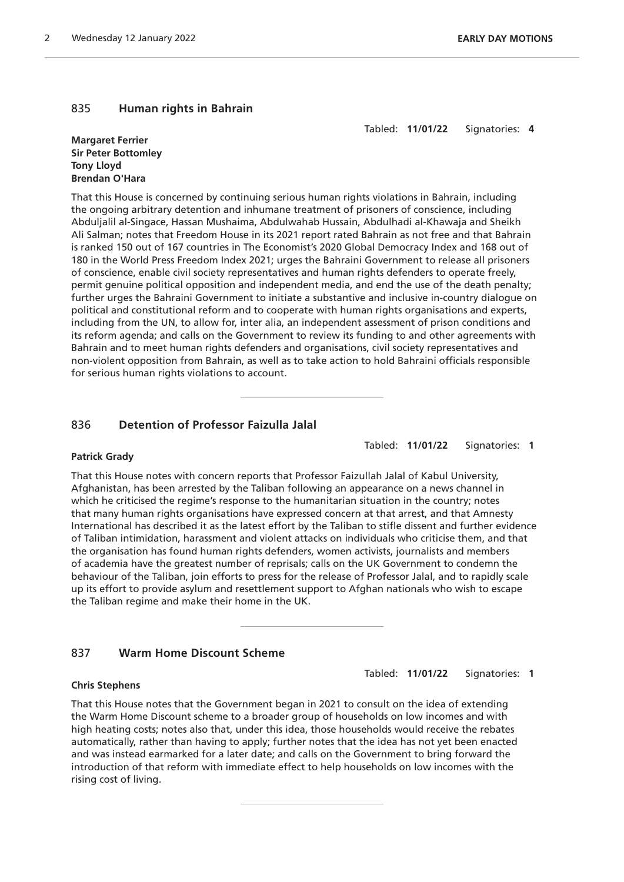# 835 **Human rights in Bahrain**

Tabled: **11/01/22** Signatories: **4**

#### **Margaret Ferrier Sir Peter Bottomley Tony Lloyd Brendan O'Hara**

That this House is concerned by continuing serious human rights violations in Bahrain, including the ongoing arbitrary detention and inhumane treatment of prisoners of conscience, including Abduljalil al-Singace, Hassan Mushaima, Abdulwahab Hussain, Abdulhadi al-Khawaja and Sheikh Ali Salman; notes that Freedom House in its 2021 report rated Bahrain as not free and that Bahrain is ranked 150 out of 167 countries in The Economist's 2020 Global Democracy Index and 168 out of 180 in the World Press Freedom Index 2021; urges the Bahraini Government to release all prisoners of conscience, enable civil society representatives and human rights defenders to operate freely, permit genuine political opposition and independent media, and end the use of the death penalty; further urges the Bahraini Government to initiate a substantive and inclusive in-country dialogue on political and constitutional reform and to cooperate with human rights organisations and experts, including from the UN, to allow for, inter alia, an independent assessment of prison conditions and its reform agenda; and calls on the Government to review its funding to and other agreements with Bahrain and to meet human rights defenders and organisations, civil society representatives and non-violent opposition from Bahrain, as well as to take action to hold Bahraini officials responsible for serious human rights violations to account.

# 836 **Detention of Professor Faizulla Jalal**

Tabled: **11/01/22** Signatories: **1**

# **Patrick Grady**

That this House notes with concern reports that Professor Faizullah Jalal of Kabul University, Afghanistan, has been arrested by the Taliban following an appearance on a news channel in which he criticised the regime's response to the humanitarian situation in the country; notes that many human rights organisations have expressed concern at that arrest, and that Amnesty International has described it as the latest effort by the Taliban to stifle dissent and further evidence of Taliban intimidation, harassment and violent attacks on individuals who criticise them, and that the organisation has found human rights defenders, women activists, journalists and members of academia have the greatest number of reprisals; calls on the UK Government to condemn the behaviour of the Taliban, join efforts to press for the release of Professor Jalal, and to rapidly scale up its effort to provide asylum and resettlement support to Afghan nationals who wish to escape the Taliban regime and make their home in the UK.

# 837 **Warm Home Discount Scheme**

Tabled: **11/01/22** Signatories: **1**

## **Chris Stephens**

That this House notes that the Government began in 2021 to consult on the idea of extending the Warm Home Discount scheme to a broader group of households on low incomes and with high heating costs; notes also that, under this idea, those households would receive the rebates automatically, rather than having to apply; further notes that the idea has not yet been enacted and was instead earmarked for a later date; and calls on the Government to bring forward the introduction of that reform with immediate effect to help households on low incomes with the rising cost of living.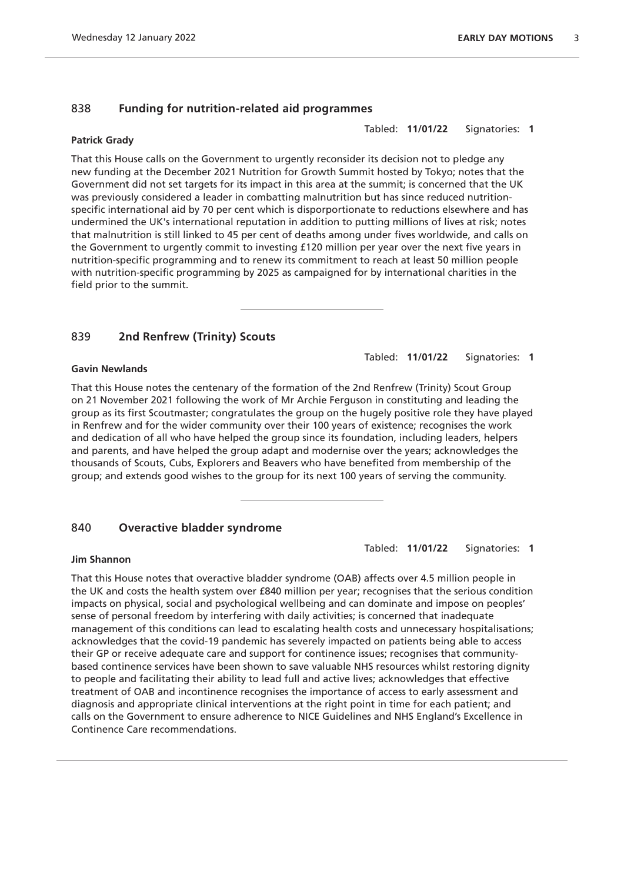# 838 **Funding for nutrition-related aid programmes**

#### **Patrick Grady**

That this House calls on the Government to urgently reconsider its decision not to pledge any new funding at the December 2021 Nutrition for Growth Summit hosted by Tokyo; notes that the Government did not set targets for its impact in this area at the summit; is concerned that the UK was previously considered a leader in combatting malnutrition but has since reduced nutritionspecific international aid by 70 per cent which is disporportionate to reductions elsewhere and has undermined the UK's international reputation in addition to putting millions of lives at risk; notes that malnutrition is still linked to 45 per cent of deaths among under fives worldwide, and calls on the Government to urgently commit to investing £120 million per year over the next five years in nutrition-specific programming and to renew its commitment to reach at least 50 million people with nutrition-specific programming by 2025 as campaigned for by international charities in the field prior to the summit.

# 839 **2nd Renfrew (Trinity) Scouts**

#### **Gavin Newlands**

That this House notes the centenary of the formation of the 2nd Renfrew (Trinity) Scout Group on 21 November 2021 following the work of Mr Archie Ferguson in constituting and leading the group as its first Scoutmaster; congratulates the group on the hugely positive role they have played in Renfrew and for the wider community over their 100 years of existence; recognises the work and dedication of all who have helped the group since its foundation, including leaders, helpers and parents, and have helped the group adapt and modernise over the years; acknowledges the thousands of Scouts, Cubs, Explorers and Beavers who have benefited from membership of the group; and extends good wishes to the group for its next 100 years of serving the community.

# 840 **Overactive bladder syndrome**

#### **Jim Shannon**

That this House notes that overactive bladder syndrome (OAB) affects over 4.5 million people in the UK and costs the health system over £840 million per year; recognises that the serious condition impacts on physical, social and psychological wellbeing and can dominate and impose on peoples' sense of personal freedom by interfering with daily activities; is concerned that inadequate management of this conditions can lead to escalating health costs and unnecessary hospitalisations; acknowledges that the covid-19 pandemic has severely impacted on patients being able to access their GP or receive adequate care and support for continence issues; recognises that communitybased continence services have been shown to save valuable NHS resources whilst restoring dignity to people and facilitating their ability to lead full and active lives; acknowledges that effective treatment of OAB and incontinence recognises the importance of access to early assessment and diagnosis and appropriate clinical interventions at the right point in time for each patient; and calls on the Government to ensure adherence to NICE Guidelines and NHS England's Excellence in Continence Care recommendations.

Tabled: **11/01/22** Signatories: **1**

Tabled: **11/01/22** Signatories: **1**

Tabled: **11/01/22** Signatories: **1**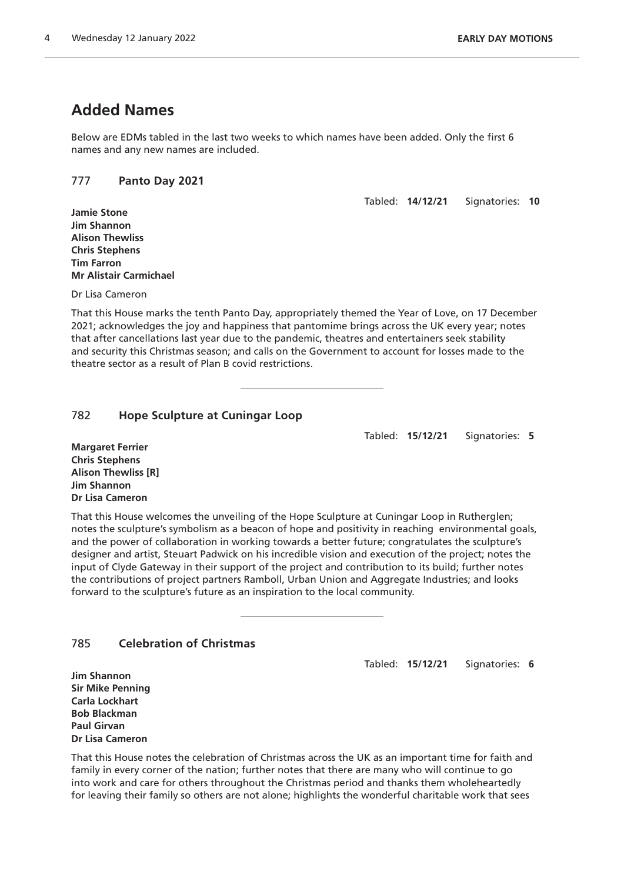# **Added Names**

Below are EDMs tabled in the last two weeks to which names have been added. Only the first 6 names and any new names are included.

# 777 **Panto Day 2021**

Tabled: **14/12/21** Signatories: **10**

**Jamie Stone Jim Shannon Alison Thewliss Chris Stephens Tim Farron Mr Alistair Carmichael**

Dr Lisa Cameron

That this House marks the tenth Panto Day, appropriately themed the Year of Love, on 17 December 2021; acknowledges the joy and happiness that pantomime brings across the UK every year; notes that after cancellations last year due to the pandemic, theatres and entertainers seek stability and security this Christmas season; and calls on the Government to account for losses made to the theatre sector as a result of Plan B covid restrictions.

# 782 **Hope Sculpture at Cuningar Loop**

Tabled: **15/12/21** Signatories: **5**

**Margaret Ferrier Chris Stephens Alison Thewliss [R] Jim Shannon Dr Lisa Cameron**

That this House welcomes the unveiling of the Hope Sculpture at Cuningar Loop in Rutherglen; notes the sculpture's symbolism as a beacon of hope and positivity in reaching environmental goals, and the power of collaboration in working towards a better future; congratulates the sculpture's designer and artist, Steuart Padwick on his incredible vision and execution of the project; notes the input of Clyde Gateway in their support of the project and contribution to its build; further notes the contributions of project partners Ramboll, Urban Union and Aggregate Industries; and looks forward to the sculpture's future as an inspiration to the local community.

# 785 **Celebration of Christmas**

Tabled: **15/12/21** Signatories: **6**

**Jim Shannon Sir Mike Penning Carla Lockhart Bob Blackman Paul Girvan Dr Lisa Cameron**

That this House notes the celebration of Christmas across the UK as an important time for faith and family in every corner of the nation; further notes that there are many who will continue to go into work and care for others throughout the Christmas period and thanks them wholeheartedly for leaving their family so others are not alone; highlights the wonderful charitable work that sees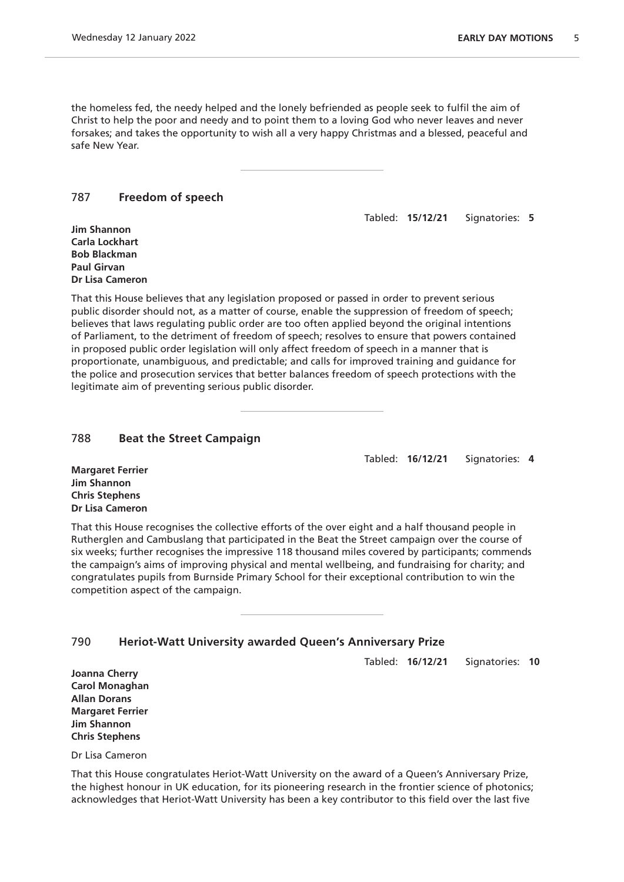the homeless fed, the needy helped and the lonely befriended as people seek to fulfil the aim of Christ to help the poor and needy and to point them to a loving God who never leaves and never forsakes; and takes the opportunity to wish all a very happy Christmas and a blessed, peaceful and safe New Year.

#### 787 **Freedom of speech**

Tabled: **15/12/21** Signatories: **5**

**Jim Shannon Carla Lockhart Bob Blackman Paul Girvan Dr Lisa Cameron**

That this House believes that any legislation proposed or passed in order to prevent serious public disorder should not, as a matter of course, enable the suppression of freedom of speech; believes that laws regulating public order are too often applied beyond the original intentions of Parliament, to the detriment of freedom of speech; resolves to ensure that powers contained in proposed public order legislation will only affect freedom of speech in a manner that is proportionate, unambiguous, and predictable; and calls for improved training and guidance for the police and prosecution services that better balances freedom of speech protections with the legitimate aim of preventing serious public disorder.

#### 788 **Beat the Street Campaign**

Tabled: **16/12/21** Signatories: **4**

**Margaret Ferrier Jim Shannon Chris Stephens Dr Lisa Cameron**

That this House recognises the collective efforts of the over eight and a half thousand people in Rutherglen and Cambuslang that participated in the Beat the Street campaign over the course of six weeks; further recognises the impressive 118 thousand miles covered by participants; commends the campaign's aims of improving physical and mental wellbeing, and fundraising for charity; and congratulates pupils from Burnside Primary School for their exceptional contribution to win the competition aspect of the campaign.

# 790 **Heriot-Watt University awarded Queen's Anniversary Prize**

Tabled: **16/12/21** Signatories: **10**

**Joanna Cherry Carol Monaghan Allan Dorans Margaret Ferrier Jim Shannon Chris Stephens**

Dr Lisa Cameron

That this House congratulates Heriot-Watt University on the award of a Queen's Anniversary Prize, the highest honour in UK education, for its pioneering research in the frontier science of photonics; acknowledges that Heriot-Watt University has been a key contributor to this field over the last five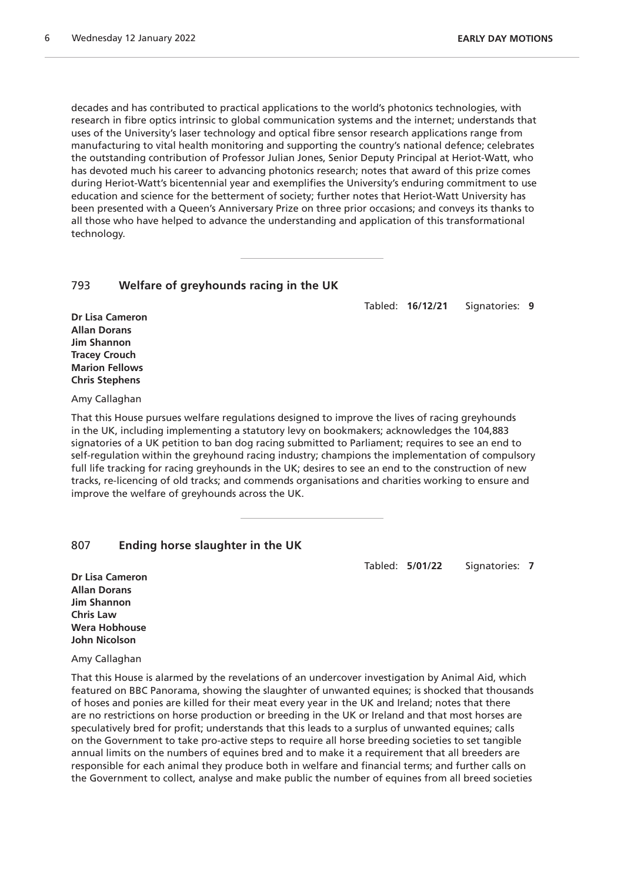decades and has contributed to practical applications to the world's photonics technologies, with research in fibre optics intrinsic to global communication systems and the internet; understands that uses of the University's laser technology and optical fibre sensor research applications range from manufacturing to vital health monitoring and supporting the country's national defence; celebrates the outstanding contribution of Professor Julian Jones, Senior Deputy Principal at Heriot-Watt, who has devoted much his career to advancing photonics research; notes that award of this prize comes during Heriot-Watt's bicentennial year and exemplifies the University's enduring commitment to use education and science for the betterment of society; further notes that Heriot-Watt University has been presented with a Queen's Anniversary Prize on three prior occasions; and conveys its thanks to all those who have helped to advance the understanding and application of this transformational technology.

#### 793 **Welfare of greyhounds racing in the UK**

Tabled: **16/12/21** Signatories: **9**

**Dr Lisa Cameron Allan Dorans Jim Shannon Tracey Crouch Marion Fellows Chris Stephens**

Amy Callaghan

That this House pursues welfare regulations designed to improve the lives of racing greyhounds in the UK, including implementing a statutory levy on bookmakers; acknowledges the 104,883 signatories of a UK petition to ban dog racing submitted to Parliament; requires to see an end to self-regulation within the greyhound racing industry; champions the implementation of compulsory full life tracking for racing greyhounds in the UK; desires to see an end to the construction of new tracks, re-licencing of old tracks; and commends organisations and charities working to ensure and improve the welfare of greyhounds across the UK.

# 807 **Ending horse slaughter in the UK**

Tabled: **5/01/22** Signatories: **7**

**Dr Lisa Cameron Allan Dorans Jim Shannon Chris Law Wera Hobhouse John Nicolson**

Amy Callaghan

That this House is alarmed by the revelations of an undercover investigation by Animal Aid, which featured on BBC Panorama, showing the slaughter of unwanted equines; is shocked that thousands of hoses and ponies are killed for their meat every year in the UK and Ireland; notes that there are no restrictions on horse production or breeding in the UK or Ireland and that most horses are speculatively bred for profit; understands that this leads to a surplus of unwanted equines; calls on the Government to take pro-active steps to require all horse breeding societies to set tangible annual limits on the numbers of equines bred and to make it a requirement that all breeders are responsible for each animal they produce both in welfare and financial terms; and further calls on the Government to collect, analyse and make public the number of equines from all breed societies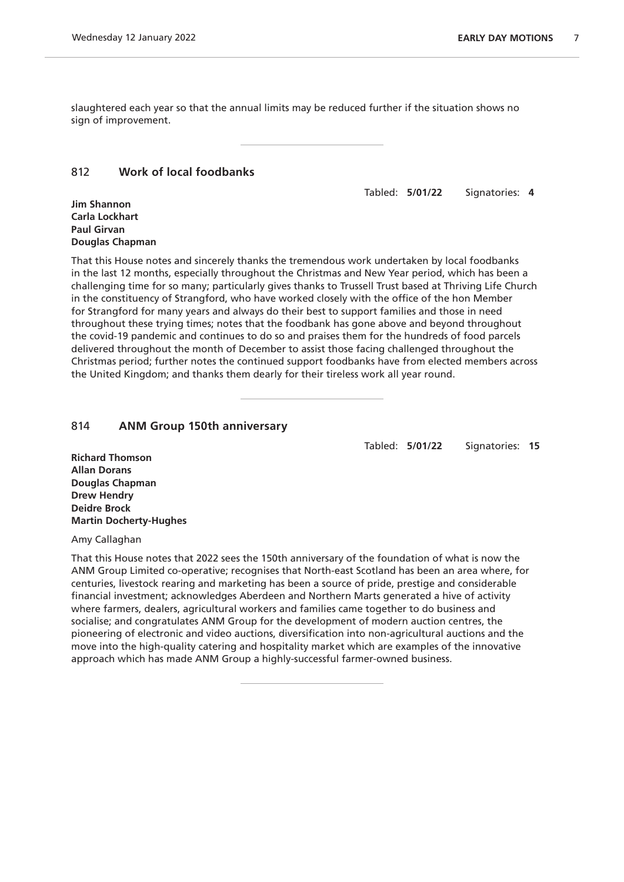slaughtered each year so that the annual limits may be reduced further if the situation shows no sign of improvement.

### 812 **Work of local foodbanks**

Tabled: **5/01/22** Signatories: **4**

**Jim Shannon Carla Lockhart Paul Girvan Douglas Chapman**

That this House notes and sincerely thanks the tremendous work undertaken by local foodbanks in the last 12 months, especially throughout the Christmas and New Year period, which has been a challenging time for so many; particularly gives thanks to Trussell Trust based at Thriving Life Church in the constituency of Strangford, who have worked closely with the office of the hon Member for Strangford for many years and always do their best to support families and those in need throughout these trying times; notes that the foodbank has gone above and beyond throughout the covid-19 pandemic and continues to do so and praises them for the hundreds of food parcels delivered throughout the month of December to assist those facing challenged throughout the Christmas period; further notes the continued support foodbanks have from elected members across the United Kingdom; and thanks them dearly for their tireless work all year round.

#### 814 **ANM Group 150th anniversary**

Tabled: **5/01/22** Signatories: **15**

**Richard Thomson Allan Dorans Douglas Chapman Drew Hendry Deidre Brock Martin Docherty-Hughes**

Amy Callaghan

That this House notes that 2022 sees the 150th anniversary of the foundation of what is now the ANM Group Limited co-operative; recognises that North-east Scotland has been an area where, for centuries, livestock rearing and marketing has been a source of pride, prestige and considerable financial investment; acknowledges Aberdeen and Northern Marts generated a hive of activity where farmers, dealers, agricultural workers and families came together to do business and socialise; and congratulates ANM Group for the development of modern auction centres, the pioneering of electronic and video auctions, diversification into non-agricultural auctions and the move into the high-quality catering and hospitality market which are examples of the innovative approach which has made ANM Group a highly-successful farmer-owned business.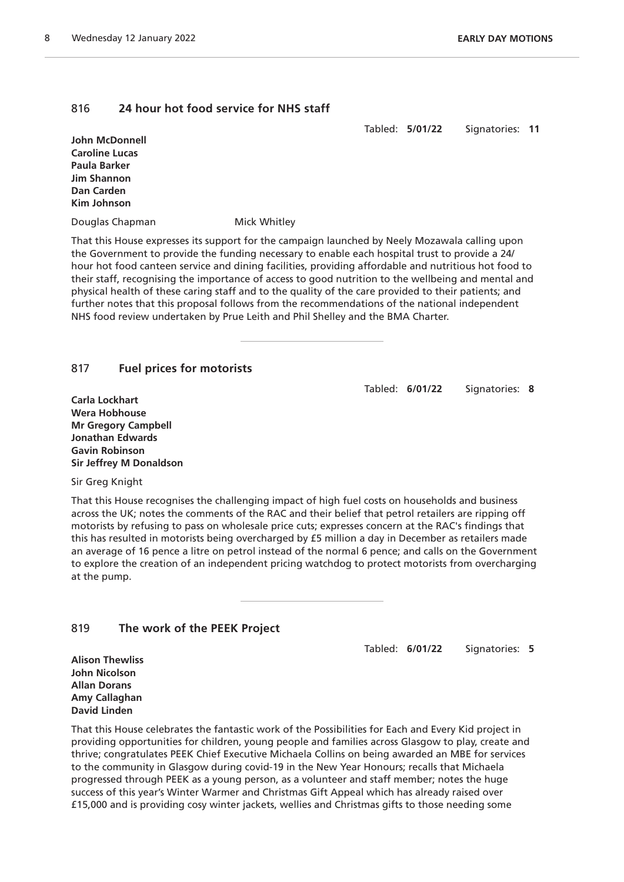# 816 **24 hour hot food service for NHS staff**

Tabled: **5/01/22** Signatories: **11**

**John McDonnell Caroline Lucas Paula Barker Jim Shannon Dan Carden Kim Johnson**

Douglas Chapman Mick Whitley

That this House expresses its support for the campaign launched by Neely Mozawala calling upon the Government to provide the funding necessary to enable each hospital trust to provide a 24/ hour hot food canteen service and dining facilities, providing affordable and nutritious hot food to their staff, recognising the importance of access to good nutrition to the wellbeing and mental and physical health of these caring staff and to the quality of the care provided to their patients; and further notes that this proposal follows from the recommendations of the national independent NHS food review undertaken by Prue Leith and Phil Shelley and the BMA Charter.

# 817 **Fuel prices for motorists**

Tabled: **6/01/22** Signatories: **8**

**Carla Lockhart Wera Hobhouse Mr Gregory Campbell Jonathan Edwards Gavin Robinson Sir Jeffrey M Donaldson**

Sir Greg Knight

That this House recognises the challenging impact of high fuel costs on households and business across the UK; notes the comments of the RAC and their belief that petrol retailers are ripping off motorists by refusing to pass on wholesale price cuts; expresses concern at the RAC's findings that this has resulted in motorists being overcharged by £5 million a day in December as retailers made an average of 16 pence a litre on petrol instead of the normal 6 pence; and calls on the Government to explore the creation of an independent pricing watchdog to protect motorists from overcharging at the pump.

# 819 **The work of the PEEK Project**

Tabled: **6/01/22** Signatories: **5**

**Alison Thewliss John Nicolson Allan Dorans Amy Callaghan David Linden**

That this House celebrates the fantastic work of the Possibilities for Each and Every Kid project in providing opportunities for children, young people and families across Glasgow to play, create and thrive; congratulates PEEK Chief Executive Michaela Collins on being awarded an MBE for services to the community in Glasgow during covid-19 in the New Year Honours; recalls that Michaela progressed through PEEK as a young person, as a volunteer and staff member; notes the huge success of this year's Winter Warmer and Christmas Gift Appeal which has already raised over £15,000 and is providing cosy winter jackets, wellies and Christmas gifts to those needing some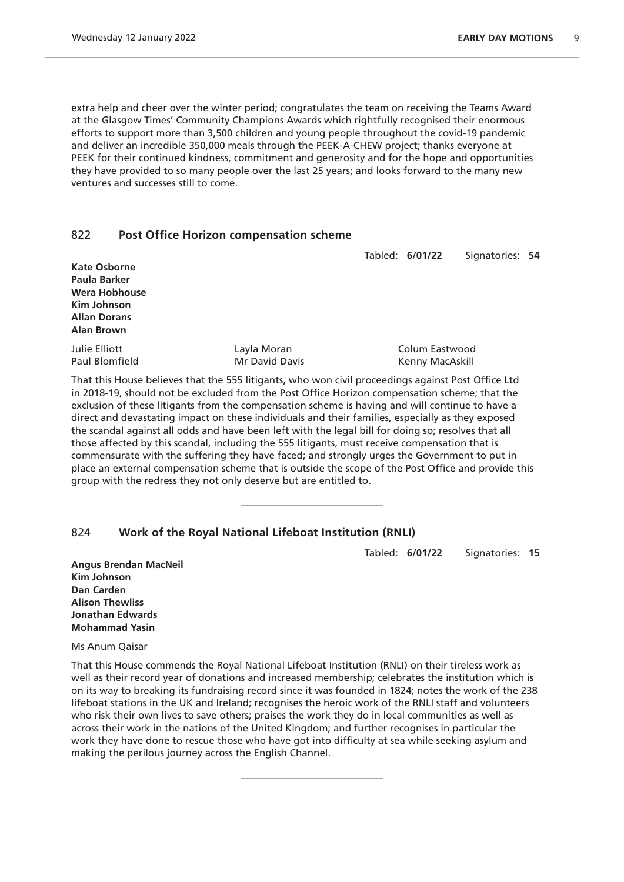extra help and cheer over the winter period; congratulates the team on receiving the Teams Award at the Glasgow Times' Community Champions Awards which rightfully recognised their enormous efforts to support more than 3,500 children and young people throughout the covid-19 pandemic and deliver an incredible 350,000 meals through the PEEK-A-CHEW project; thanks everyone at PEEK for their continued kindness, commitment and generosity and for the hope and opportunities they have provided to so many people over the last 25 years; and looks forward to the many new ventures and successes still to come.

# 822 **Post Office Horizon compensation scheme**

Tabled: **6/01/22** Signatories: **54**

| <b>Kate Osborne</b><br>Paula Barker<br>Wera Hobhouse<br>Kim Johnson<br><b>Allan Dorans</b><br><b>Alan Brown</b> |                                                                                                    |                 |
|-----------------------------------------------------------------------------------------------------------------|----------------------------------------------------------------------------------------------------|-----------------|
| Julie Elliott                                                                                                   | Layla Moran                                                                                        | Colum Eastwood  |
| Paul Blomfield                                                                                                  | Mr David Davis                                                                                     | Kenny MacAskill |
|                                                                                                                 | That this House believes that the 555 litigants, who won civil proceedings against Post Office Ltd |                 |

in 2018-19, should not be excluded from the Post Office Horizon compensation scheme; that the exclusion of these litigants from the compensation scheme is having and will continue to have a direct and devastating impact on these individuals and their families, especially as they exposed the scandal against all odds and have been left with the legal bill for doing so; resolves that all those affected by this scandal, including the 555 litigants, must receive compensation that is commensurate with the suffering they have faced; and strongly urges the Government to put in place an external compensation scheme that is outside the scope of the Post Office and provide this group with the redress they not only deserve but are entitled to.

# 824 **Work of the Royal National Lifeboat Institution (RNLI)**

Tabled: **6/01/22** Signatories: **15**

**Angus Brendan MacNeil Kim Johnson Dan Carden Alison Thewliss Jonathan Edwards Mohammad Yasin**

Ms Anum Qaisar

That this House commends the Royal National Lifeboat Institution (RNLI) on their tireless work as well as their record year of donations and increased membership; celebrates the institution which is on its way to breaking its fundraising record since it was founded in 1824; notes the work of the 238 lifeboat stations in the UK and Ireland; recognises the heroic work of the RNLI staff and volunteers who risk their own lives to save others; praises the work they do in local communities as well as across their work in the nations of the United Kingdom; and further recognises in particular the work they have done to rescue those who have got into difficulty at sea while seeking asylum and making the perilous journey across the English Channel.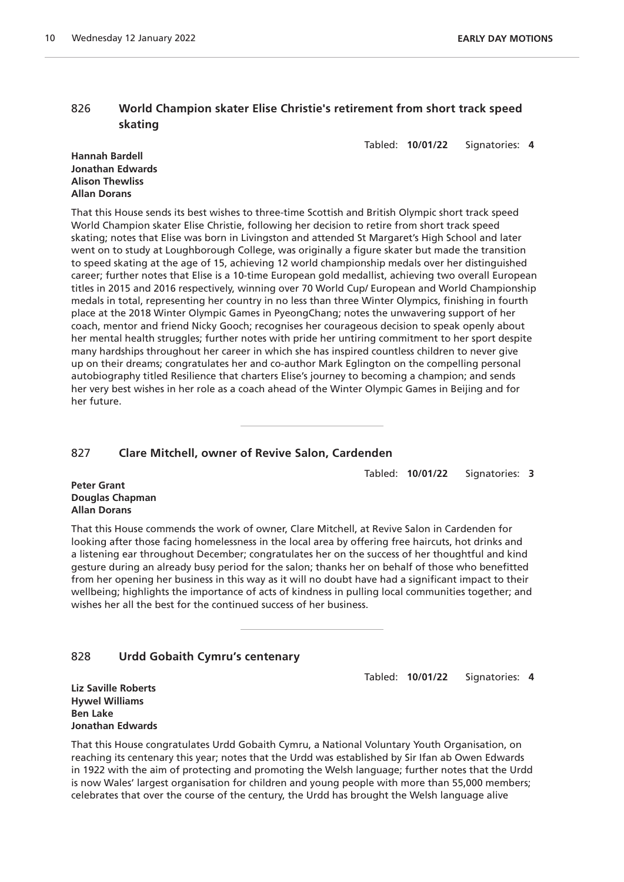# 826 **World Champion skater Elise Christie's retirement from short track speed skating**

Tabled: **10/01/22** Signatories: **4**

#### **Hannah Bardell Jonathan Edwards Alison Thewliss Allan Dorans**

That this House sends its best wishes to three-time Scottish and British Olympic short track speed World Champion skater Elise Christie, following her decision to retire from short track speed skating; notes that Elise was born in Livingston and attended St Margaret's High School and later went on to study at Loughborough College, was originally a figure skater but made the transition to speed skating at the age of 15, achieving 12 world championship medals over her distinguished career; further notes that Elise is a 10-time European gold medallist, achieving two overall European titles in 2015 and 2016 respectively, winning over 70 World Cup/ European and World Championship medals in total, representing her country in no less than three Winter Olympics, finishing in fourth place at the 2018 Winter Olympic Games in PyeongChang; notes the unwavering support of her coach, mentor and friend Nicky Gooch; recognises her courageous decision to speak openly about her mental health struggles; further notes with pride her untiring commitment to her sport despite many hardships throughout her career in which she has inspired countless children to never give up on their dreams; congratulates her and co-author Mark Eglington on the compelling personal autobiography titled Resilience that charters Elise's journey to becoming a champion; and sends her very best wishes in her role as a coach ahead of the Winter Olympic Games in Beijing and for her future.

# 827 **Clare Mitchell, owner of Revive Salon, Cardenden**

Tabled: **10/01/22** Signatories: **3**

**Peter Grant Douglas Chapman Allan Dorans**

That this House commends the work of owner, Clare Mitchell, at Revive Salon in Cardenden for looking after those facing homelessness in the local area by offering free haircuts, hot drinks and a listening ear throughout December; congratulates her on the success of her thoughtful and kind gesture during an already busy period for the salon; thanks her on behalf of those who benefitted from her opening her business in this way as it will no doubt have had a significant impact to their wellbeing; highlights the importance of acts of kindness in pulling local communities together; and wishes her all the best for the continued success of her business.

# 828 **Urdd Gobaith Cymru's centenary**

Tabled: **10/01/22** Signatories: **4**

**Liz Saville Roberts Hywel Williams Ben Lake Jonathan Edwards**

That this House congratulates Urdd Gobaith Cymru, a National Voluntary Youth Organisation, on reaching its centenary this year; notes that the Urdd was established by Sir Ifan ab Owen Edwards in 1922 with the aim of protecting and promoting the Welsh language; further notes that the Urdd is now Wales' largest organisation for children and young people with more than 55,000 members; celebrates that over the course of the century, the Urdd has brought the Welsh language alive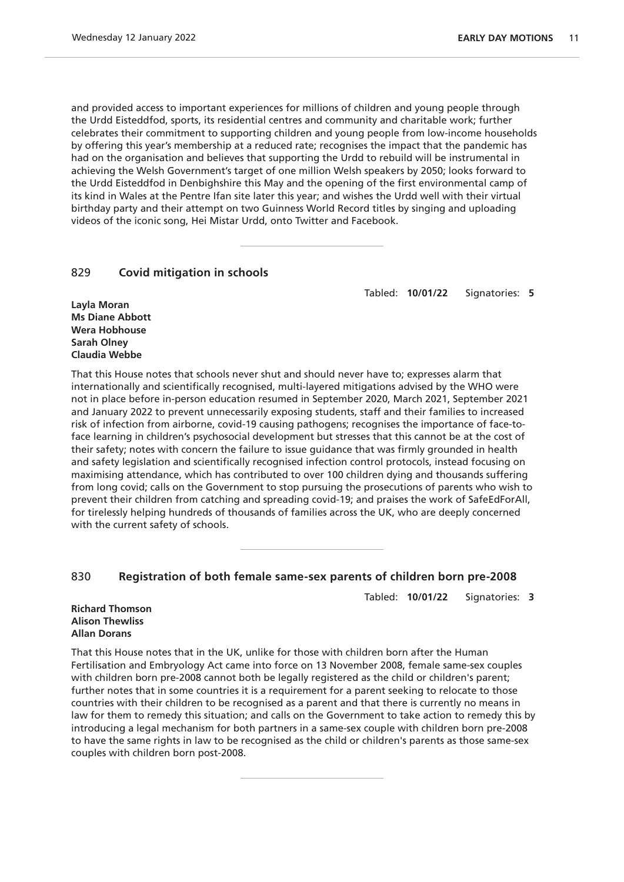and provided access to important experiences for millions of children and young people through the Urdd Eisteddfod, sports, its residential centres and community and charitable work; further celebrates their commitment to supporting children and young people from low-income households by offering this year's membership at a reduced rate; recognises the impact that the pandemic has had on the organisation and believes that supporting the Urdd to rebuild will be instrumental in achieving the Welsh Government's target of one million Welsh speakers by 2050; looks forward to the Urdd Eisteddfod in Denbighshire this May and the opening of the first environmental camp of its kind in Wales at the Pentre Ifan site later this year; and wishes the Urdd well with their virtual birthday party and their attempt on two Guinness World Record titles by singing and uploading videos of the iconic song, Hei Mistar Urdd, onto Twitter and Facebook.

# 829 **Covid mitigation in schools**

Tabled: **10/01/22** Signatories: **5**

**Layla Moran Ms Diane Abbott Wera Hobhouse Sarah Olney Claudia Webbe**

That this House notes that schools never shut and should never have to; expresses alarm that internationally and scientifically recognised, multi-layered mitigations advised by the WHO were not in place before in-person education resumed in September 2020, March 2021, September 2021 and January 2022 to prevent unnecessarily exposing students, staff and their families to increased risk of infection from airborne, covid-19 causing pathogens; recognises the importance of face-toface learning in children's psychosocial development but stresses that this cannot be at the cost of their safety; notes with concern the failure to issue guidance that was firmly grounded in health and safety legislation and scientifically recognised infection control protocols, instead focusing on maximising attendance, which has contributed to over 100 children dying and thousands suffering from long covid; calls on the Government to stop pursuing the prosecutions of parents who wish to prevent their children from catching and spreading covid-19; and praises the work of SafeEdForAll, for tirelessly helping hundreds of thousands of families across the UK, who are deeply concerned with the current safety of schools.

#### 830 **Registration of both female same-sex parents of children born pre-2008**

Tabled: **10/01/22** Signatories: **3**

#### **Richard Thomson Alison Thewliss Allan Dorans**

That this House notes that in the UK, unlike for those with children born after the Human Fertilisation and Embryology Act came into force on 13 November 2008, female same-sex couples with children born pre-2008 cannot both be legally registered as the child or children's parent; further notes that in some countries it is a requirement for a parent seeking to relocate to those countries with their children to be recognised as a parent and that there is currently no means in law for them to remedy this situation; and calls on the Government to take action to remedy this by introducing a legal mechanism for both partners in a same-sex couple with children born pre-2008 to have the same rights in law to be recognised as the child or children's parents as those same-sex couples with children born post-2008.